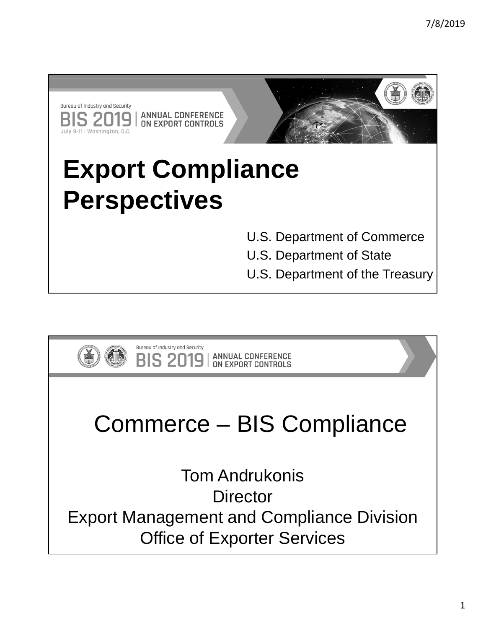

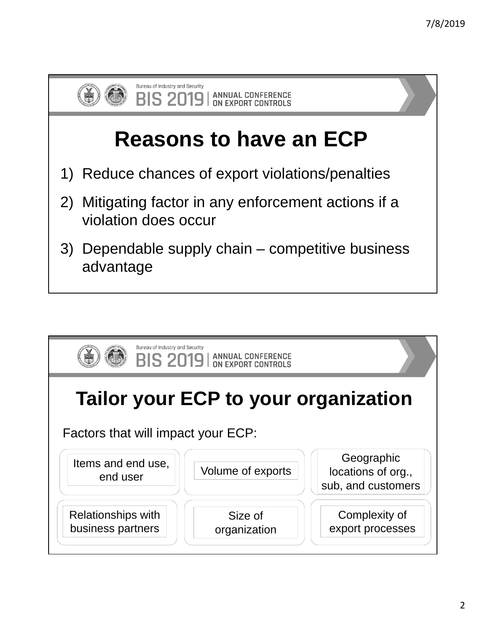

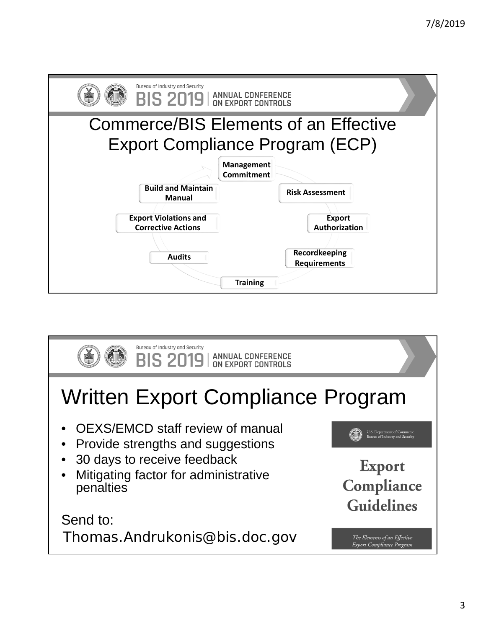| Bureau of Industry and Security<br><b>BIS 2019</b>   ANNUAL CONFERENCE   |                                                         |  |  |  |  |  |
|--------------------------------------------------------------------------|---------------------------------------------------------|--|--|--|--|--|
| Commerce/BIS Elements of an Effective<br>Export Compliance Program (ECP) |                                                         |  |  |  |  |  |
|                                                                          | <b>Management</b><br><b>Commitment</b>                  |  |  |  |  |  |
| <b>Build and Maintain</b><br><b>Manual</b>                               | <b>Risk Assessment</b>                                  |  |  |  |  |  |
| <b>Export Violations and</b><br><b>Corrective Actions</b>                | <b>Export</b><br>Authorization                          |  |  |  |  |  |
| <b>Audits</b>                                                            | Recordkeeping<br><b>Requirements</b><br><b>Training</b> |  |  |  |  |  |

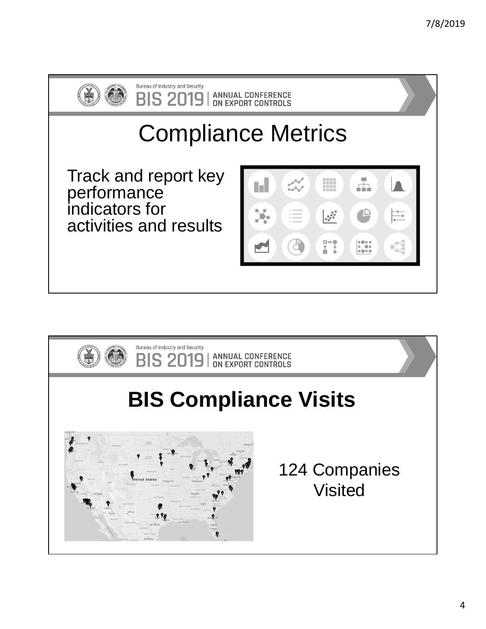

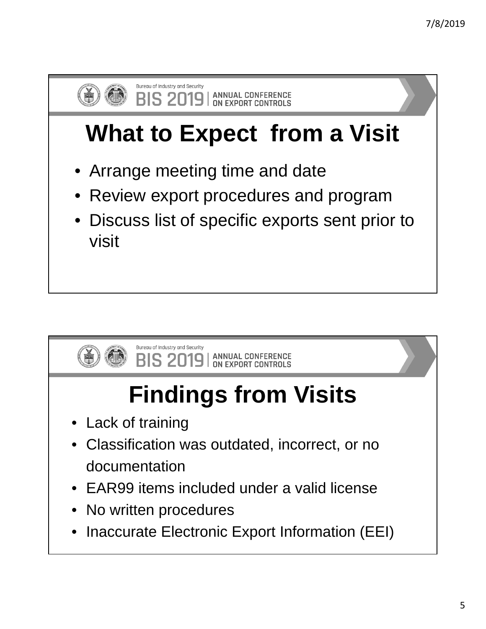

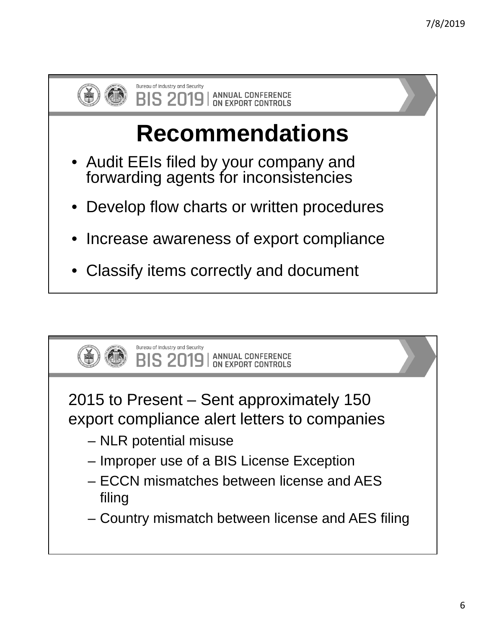

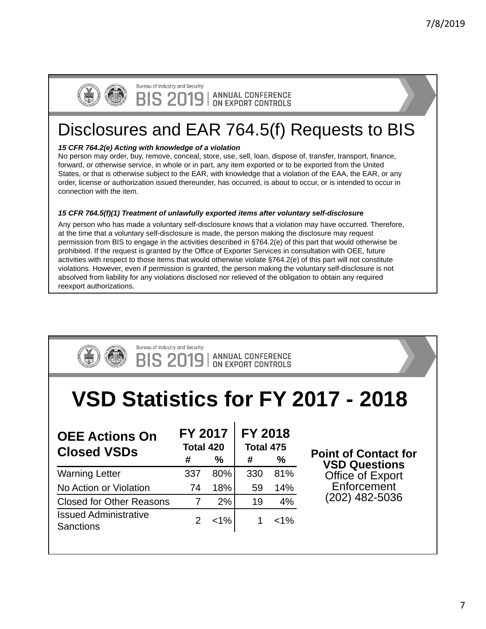

Bureau of Industry and Security S 2019

**ANNUAL CONFERENCE** ON EXPORT CONTROLS

## Disclosures and EAR 764.5(f) Requests to BIS

## *15 CFR 764.2(e) Acting with knowledge of a violation*

No person may order, buy, remove, conceal, store, use, sell, loan, dispose of, transfer, transport, finance, forward, or otherwise service, in whole or in part, any item exported or to be exported from the United States, or that is otherwise subject to the EAR, with knowledge that a violation of the EAA, the EAR, or any order, license or authorization issued thereunder, has occurred, is about to occur, or is intended to occur in connection with the item.

## *15 CFR 764.5(f)(1) Treatment of unlawfully exported items after voluntary self-disclosure*

Any person who has made a voluntary self-disclosure knows that a violation may have occurred. Therefore, at the time that a voluntary self-disclosure is made, the person making the disclosure may request permission from BIS to engage in the activities described in §764.2(e) of this part that would otherwise be prohibited. If the request is granted by the Office of Exporter Services in consultation with OEE, future activities with respect to those items that would otherwise violate §764.2(e) of this part will not constitute violations. However, even if permission is granted, the person making the voluntary self-disclosure is not absolved from liability for any violations disclosed nor relieved of the obligation to obtain any required reexport authorizations.

| Bureau of Industry and Security<br><b>BIS 2019</b>   ANNUAL CONFERENCE |                                          |         |                                       |         |                                                     |  |  |
|------------------------------------------------------------------------|------------------------------------------|---------|---------------------------------------|---------|-----------------------------------------------------|--|--|
| VSD Statistics for FY 2017 - 2018                                      |                                          |         |                                       |         |                                                     |  |  |
| <b>OEE Actions On</b><br><b>Closed VSDs</b>                            | <b>FY 2017</b><br>Total 420<br>$\%$<br># |         | <b>FY 2018</b><br>Total 475<br>%<br># |         | <b>Point of Contact for</b><br><b>VSD Questions</b> |  |  |
| <b>Warning Letter</b>                                                  | 337                                      | 80%     | 330                                   | 81%     | Office of Export                                    |  |  |
| No Action or Violation                                                 | 74                                       | 18%     | 59                                    | 14%     | Enforcement                                         |  |  |
| <b>Closed for Other Reasons</b>                                        | $\overline{7}$                           | 2%      | 19                                    | 4%      | (202) 482-5036                                      |  |  |
| <b>Issued Administrative</b><br><b>Sanctions</b>                       | 2                                        | $< 1\%$ | 1                                     | $< 1\%$ |                                                     |  |  |
|                                                                        |                                          |         |                                       |         |                                                     |  |  |